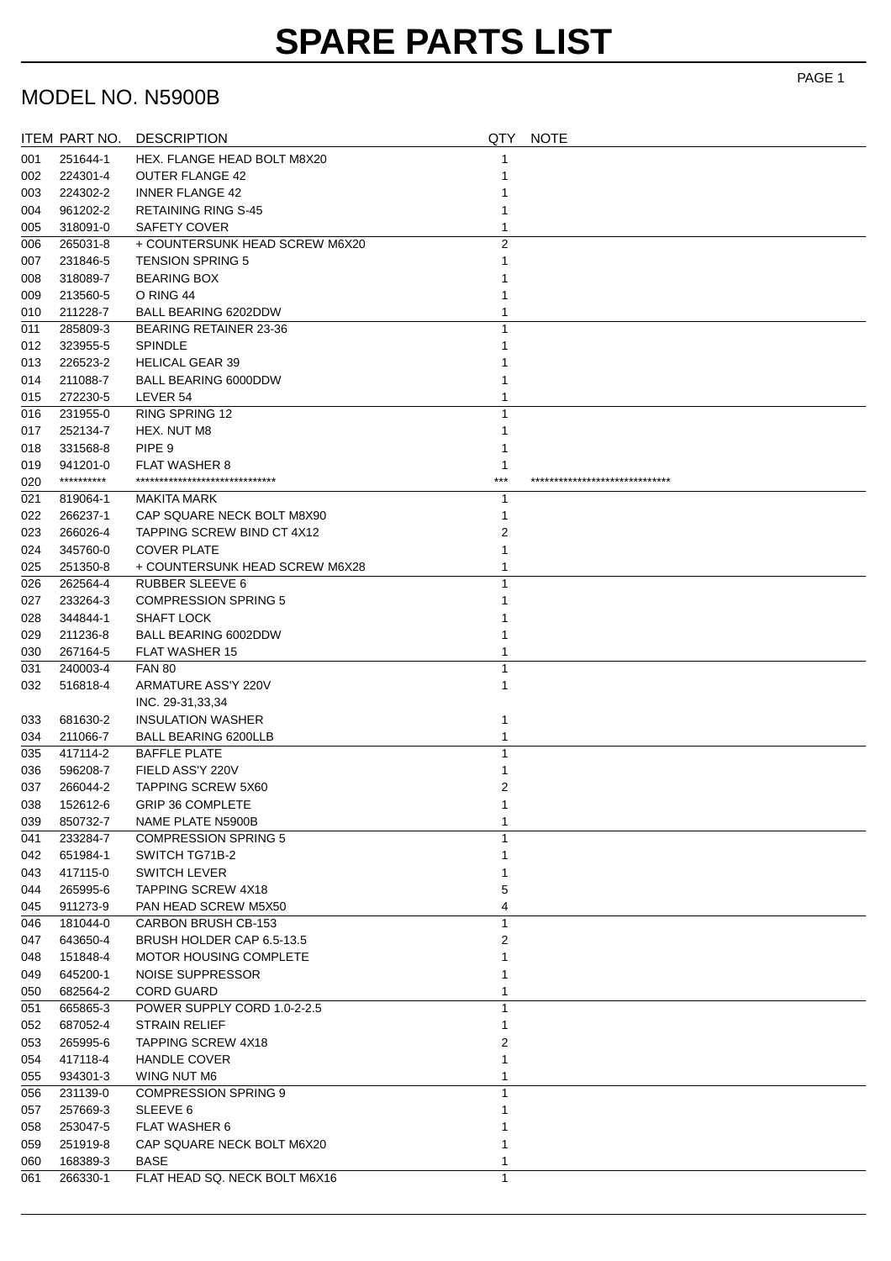# **SPARE PARTS LIST**

### MODEL NO. N5900B

|            | ITEM PART NO.          | <b>DESCRIPTION</b>                                       | QTY            | <b>NOTE</b>                 |
|------------|------------------------|----------------------------------------------------------|----------------|-----------------------------|
| 001        | 251644-1               | HEX. FLANGE HEAD BOLT M8X20                              | 1              |                             |
| 002        | 224301-4               | <b>OUTER FLANGE 42</b>                                   | 1              |                             |
| 003        | 224302-2               | <b>INNER FLANGE 42</b>                                   |                |                             |
| 004        | 961202-2               | <b>RETAINING RING S-45</b>                               |                |                             |
| 005        | 318091-0               | <b>SAFETY COVER</b>                                      | 1              |                             |
| 006        | 265031-8               | + COUNTERSUNK HEAD SCREW M6X20                           | $\overline{2}$ |                             |
| 007        | 231846-5               | <b>TENSION SPRING 5</b>                                  |                |                             |
| 008        | 318089-7               | <b>BEARING BOX</b>                                       |                |                             |
| 009        | 213560-5               | O RING 44                                                |                |                             |
| 010        | 211228-7               | <b>BALL BEARING 6202DDW</b>                              | 1              |                             |
| 011        | 285809-3               | <b>BEARING RETAINER 23-36</b>                            | 1              |                             |
| 012        | 323955-5               | <b>SPINDLE</b>                                           |                |                             |
| 013        | 226523-2               | <b>HELICAL GEAR 39</b>                                   |                |                             |
| 014        | 211088-7               | <b>BALL BEARING 6000DDW</b>                              | 1              |                             |
| 015        | 272230-5               | LEVER 54                                                 |                |                             |
| 016        | 231955-0               | <b>RING SPRING 12</b>                                    | 1              |                             |
| 017        | 252134-7               | HEX. NUT M8                                              | 1              |                             |
| 018        | 331568-8               | PIPE <sub>9</sub>                                        | 1              |                             |
| 019        | 941201-0<br>********** | <b>FLAT WASHER 8</b><br>******************************   | 1<br>***       | *************************** |
| 020        |                        |                                                          |                |                             |
| 021        | 819064-1               | MAKITA MARK                                              | 1              |                             |
| 022        | 266237-1<br>266026-4   | CAP SQUARE NECK BOLT M8X90<br>TAPPING SCREW BIND CT 4X12 | 1<br>2         |                             |
| 023<br>024 |                        | <b>COVER PLATE</b>                                       | 1              |                             |
| 025        | 345760-0<br>251350-8   | + COUNTERSUNK HEAD SCREW M6X28                           | 1              |                             |
| 026        | 262564-4               | RUBBER SLEEVE 6                                          | 1              |                             |
| 027        | 233264-3               | <b>COMPRESSION SPRING 5</b>                              |                |                             |
| 028        | 344844-1               | <b>SHAFT LOCK</b>                                        |                |                             |
| 029        | 211236-8               | BALL BEARING 6002DDW                                     |                |                             |
| 030        | 267164-5               | <b>FLAT WASHER 15</b>                                    |                |                             |
| 031        | 240003-4               | <b>FAN 80</b>                                            | 1              |                             |
| 032        | 516818-4               | ARMATURE ASS'Y 220V                                      | 1              |                             |
|            |                        | INC. 29-31,33,34                                         |                |                             |
| 033        | 681630-2               | <b>INSULATION WASHER</b>                                 | 1              |                             |
| 034        | 211066-7               | <b>BALL BEARING 6200LLB</b>                              | 1              |                             |
| 035        | 417114-2               | <b>BAFFLE PLATE</b>                                      | 1              |                             |
| 036        | 596208-7               | FIELD ASS'Y 220V                                         | 1              |                             |
| 037        | 266044-2               | <b>TAPPING SCREW 5X60</b>                                | 2              |                             |
| 038        | 152612-6               | <b>GRIP 36 COMPLETE</b>                                  | 1              |                             |
| 039        | 850732-7               | NAME PLATE N5900B                                        |                |                             |
| 041        | 233284-7               | <b>COMPRESSION SPRING 5</b>                              |                |                             |
| 042        | 651984-1               | SWITCH TG71B-2                                           |                |                             |
| 043        | 417115-0               | <b>SWITCH LEVER</b>                                      |                |                             |
| 044        | 265995-6               | <b>TAPPING SCREW 4X18</b>                                | 5              |                             |
| 045        | 911273-9               | PAN HEAD SCREW M5X50                                     | 4              |                             |
| 046        | 181044-0               | <b>CARBON BRUSH CB-153</b>                               | $\mathbf{1}$   |                             |
| 047        | 643650-4               | BRUSH HOLDER CAP 6.5-13.5                                | 2              |                             |
| 048        | 151848-4               | <b>MOTOR HOUSING COMPLETE</b>                            | 1              |                             |
| 049        | 645200-1               | NOISE SUPPRESSOR                                         | 1              |                             |
| 050        | 682564-2               | <b>CORD GUARD</b>                                        | 1              |                             |
| 051        | 665865-3               | POWER SUPPLY CORD 1.0-2-2.5                              | 1              |                             |
| 052        | 687052-4               | <b>STRAIN RELIEF</b>                                     | 1              |                             |
| 053        | 265995-6               | <b>TAPPING SCREW 4X18</b>                                | 2              |                             |
| 054        | 417118-4               | <b>HANDLE COVER</b>                                      | 1              |                             |
| 055        | 934301-3<br>231139-0   | WING NUT M6<br><b>COMPRESSION SPRING 9</b>               | 1<br>1         |                             |
| 056<br>057 | 257669-3               | SLEEVE <sub>6</sub>                                      |                |                             |
| 058        | 253047-5               | <b>FLAT WASHER 6</b>                                     |                |                             |
| 059        | 251919-8               | CAP SQUARE NECK BOLT M6X20                               | 1              |                             |
| 060        | 168389-3               | <b>BASE</b>                                              | 1              |                             |
| 061        | 266330-1               | FLAT HEAD SQ. NECK BOLT M6X16                            | $\mathbf{1}$   |                             |
|            |                        |                                                          |                |                             |

PAGE 1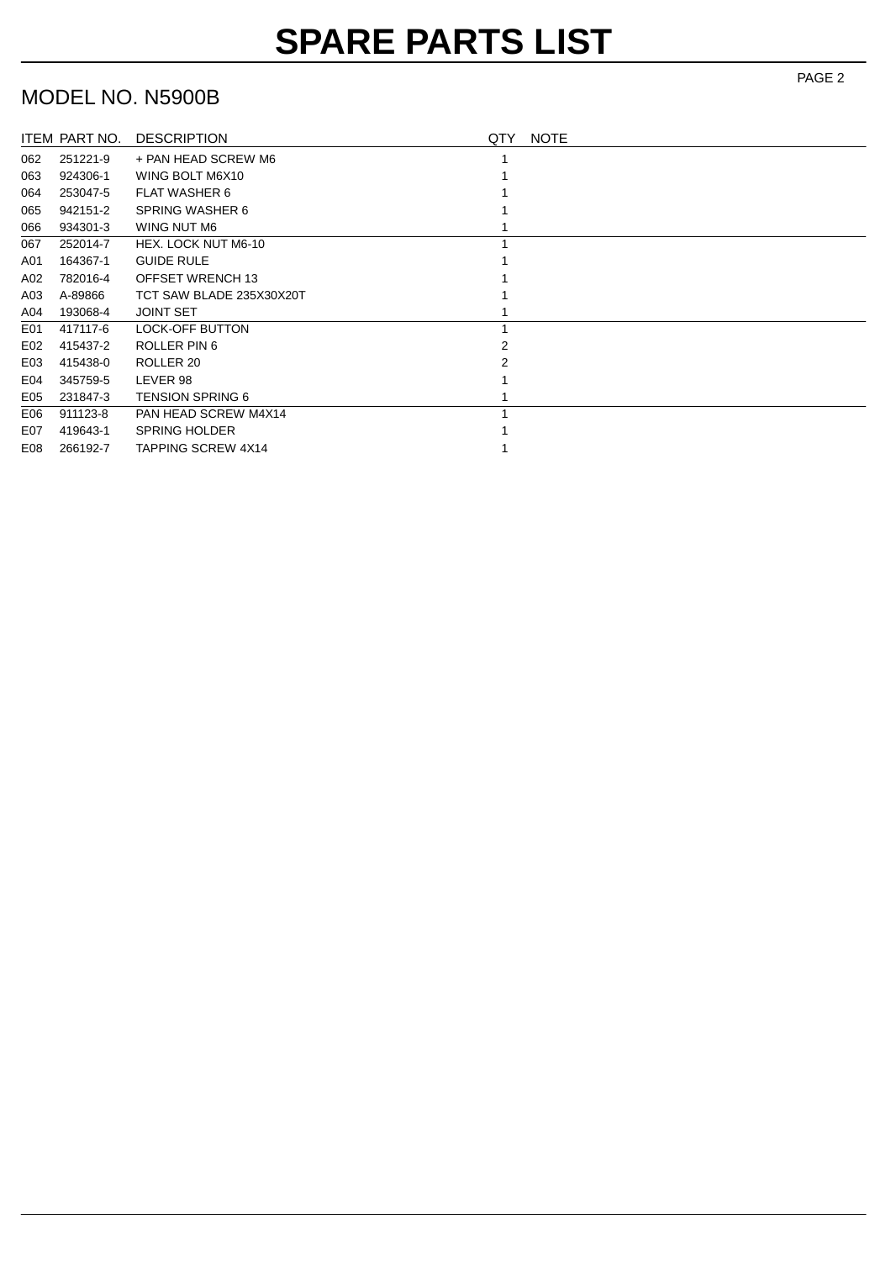# **SPARE PARTS LIST**

#### MODEL NO. N5900B

|     | ITEM PART NO. | <b>DESCRIPTION</b>        | QTY | <b>NOTE</b> |
|-----|---------------|---------------------------|-----|-------------|
| 062 | 251221-9      | + PAN HEAD SCREW M6       |     |             |
| 063 | 924306-1      | WING BOLT M6X10           |     |             |
| 064 | 253047-5      | <b>FLAT WASHER 6</b>      |     |             |
| 065 | 942151-2      | <b>SPRING WASHER 6</b>    |     |             |
| 066 | 934301-3      | WING NUT M6               |     |             |
| 067 | 252014-7      | HEX. LOCK NUT M6-10       |     |             |
| A01 | 164367-1      | <b>GUIDE RULE</b>         |     |             |
| A02 | 782016-4      | OFFSET WRENCH 13          |     |             |
| A03 | A-89866       | TCT SAW BLADE 235X30X20T  |     |             |
| A04 | 193068-4      | <b>JOINT SET</b>          |     |             |
| E01 | 417117-6      | <b>LOCK-OFF BUTTON</b>    |     |             |
| E02 | 415437-2      | ROLLER PIN 6              |     |             |
| E03 | 415438-0      | ROLLER 20                 |     |             |
| E04 | 345759-5      | LEVER 98                  |     |             |
| E05 | 231847-3      | <b>TENSION SPRING 6</b>   |     |             |
| E06 | 911123-8      | PAN HEAD SCREW M4X14      |     |             |
| E07 | 419643-1      | <b>SPRING HOLDER</b>      |     |             |
| E08 | 266192-7      | <b>TAPPING SCREW 4X14</b> |     |             |

PAGE 2